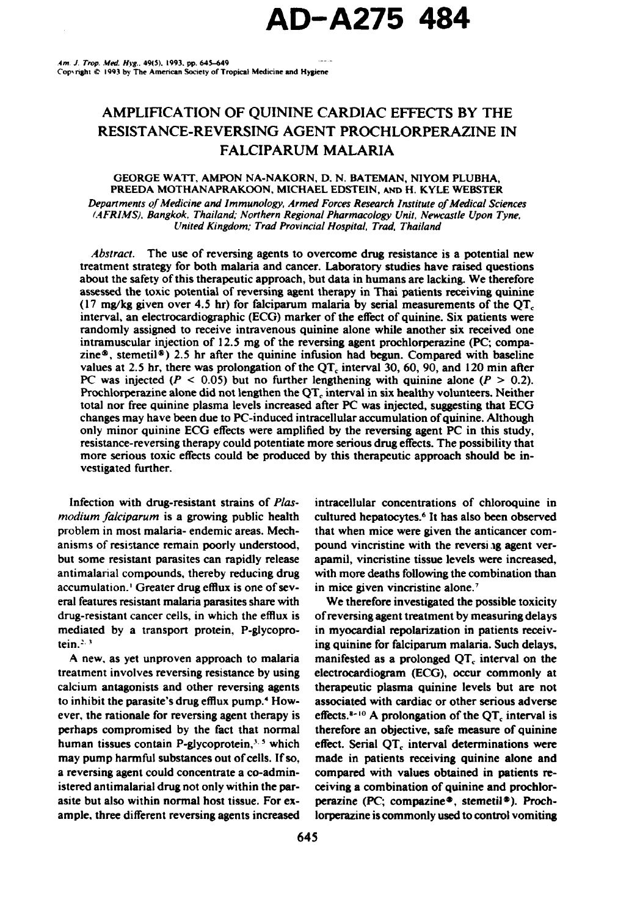# AMPLIFICATION OF QUININE CARDIAC EFFECTS BY THE RESISTANCE-REVERSING AGENT PROCHLORPERAZINE IN FALCIPARUM MALARIA

## GEORGE WATT, AMPON NA-NAKORN, D. N. BATEMAN, NIYOM PLUBHA, PREEDA MOTHANAPRAKOON, MICHAEL EDSTEIN, AND H. KYLE WEBSTER *Departments of Medicine and Immunology, Armed Forces Research Institute of Medical Sciences*

(AFRIMS). *Bangkok, Thailand; Northern Regional Pharmacology Unit, Newcastle Upon Tyne, United Kingdom; Trad Provincial Hospital, Trad. Thailand*

*Abstract.* The use of reversing agents to overcome drug resistance is a potential new treatment strategy for both malaria and cancer. Laboratory studies have raised questions about the safety of this therapeutic approach, but data in humans are lacking. We therefore assessed the toxic potential of reversing agent therapy in Thai patients receiving quinine (17 mg/kg given over 4.5 hr) for falciparum malaria by serial measurements of the **QT,** interval, an electrocardiographic (ECG) marker of the effect of quinine. Six patients were randomly assigned to receive intravenous quinine alone while another six received one intramuscular injection of 12.5 mg of the reversing agent prochlorperazine (PC; compazine<sup>®</sup>, stemetil<sup>®</sup>) 2.5 hr after the quinine infusion had begun. Compared with baseline values at 2.5 hr, there was prolongation of the  $QT<sub>c</sub>$  interval 30, 60, 90, and 120 min after PC was injected ( $P < 0.05$ ) but no further lengthening with quinine alone ( $P > 0.2$ ). Prochlorperazine alone did not lengthen the **QT,** interval in six healthy volunteers. Neither total nor free quinine plasma levels increased after PC was injected, suggesting that **ECG** changes may have been due to PC-induced intracellular accumulation of quinine. Although only minor quinine ECG effects were amplified by the reversing agent PC in this study, resistance-reversing therapy could potentiate more serious drug effects. The possibility that more serious toxic effects could be produced by this therapeutic approach should be investigated further.

*modium falciparum* is a growing public health cultured hepatocytes.<sup>6</sup> It has also been observed problem in most malaria- endemic areas. Mech- that when mice were given the anticancer comanisms of resistance remain poorly understood, pound vincristine with the reversi ig agent verbut some resistant parasites can rapidly release apamil, vincristine tissue levels were increased, antimalarial compounds, thereby reducing drug with more deaths following the combination than accumulation.' Greater drug efflux is one of sev- in mice given vincristine alone.' eral features resistant malaria parasites share with We therefore investigated the possible toxicity drug-resistant cancer cells, in which the efflux is of reversing agent treatment by measuring delays mediated by a transport protein, P-glycopro- in myocardial repolarization in patients receiv-

treatment involves reversing resistance by using electrocardiogram (ECG), occur commonly at calcium antagonists and other reversing agents therapeutic plasma quinine levels but are not to inhibit the parasite's drug efflux pump.<sup>4</sup> How- associated with cardiac or other serious adverse ever, the rationale for reversing agent therapy is effects.<sup>8-10</sup> A prolongation of the  $QT_c$  interval is perhaps compromised by the fact that normal therefore an objective, safe measure of quinine human tissues contain P-glycoprotein,<sup>3, 5</sup> which effect. Serial QT<sub>c</sub> interval determinations were may pump harmful substances out of cells. If so, made in patients receiving quinine alone and a reversing agent could concentrate a co-admin- compared with values obtained in patients reistered antimalarial drug not only within the par- ceiving a combination of quinine and prochlorasite but also within normal host tissue. For ex- perazine (PC; compazine®, stemetil®). Proch-

Infection with drug-resistant strains of *Plas-* intracellular concentrations of chloroquine in

tein.<sup>2,3</sup> **In all is a linear of the line of the individual of falciparum malaria. Such delays,** A new, as yet unproven approach to malaria manifested as a prolonged **QT,** interval on the ample, three different reversing agents increased lorperazine is commonly used to control vomiting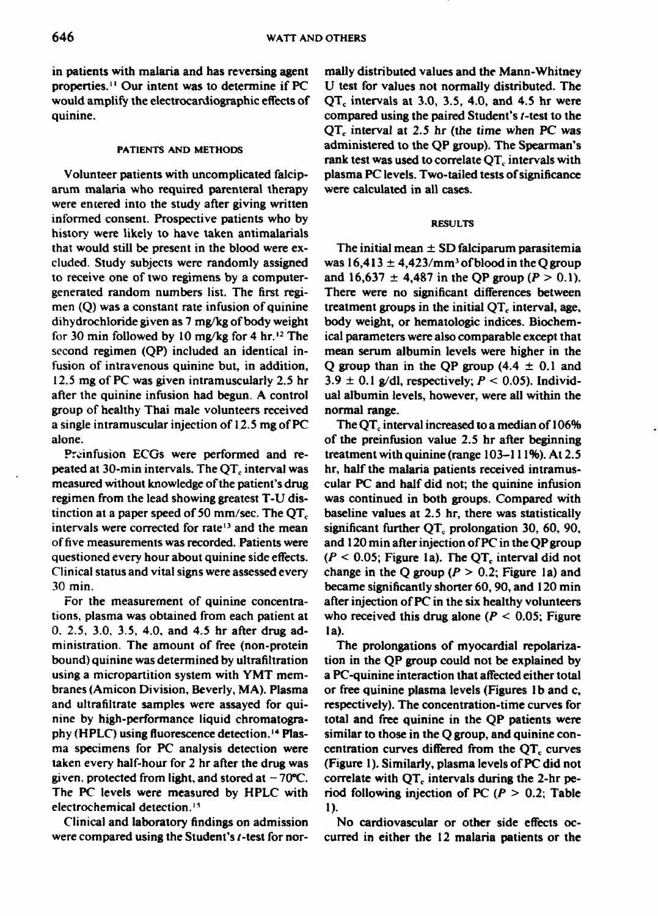in patients with malaria and has reversing agent mally distributed values and the Mann-Whitney properties. **I** Our intent was to determine if PC U test for values not normally distributed. The would amplify the electrocardiographic effects of  $QT<sub>c</sub>$  intervals at 3.0, 3.5, 4.0, and 4.5 hr were quinine. Compared using the paired Student's t-test to the

arum malaria who required parenteral therapy were calculated in all cases. were entered into the study after giving written informed consent. Prospective patients who by **RESULTS** history were likely to have taken antimalarials that would still be present in the blood were ex- The initial mean **±** SD falciparum parasitemia cluded. Study subjects were randomly assigned was  $16,413 \pm 4,423/\text{mm}^3$  of blood in the *Q* group to receive one of two regimens by a computer- and  $16,637 \pm 4,487$  in the QP group ( $P > 0.1$ ). generated random numbers list. The first regi- There were no significant differences between men  $(Q)$  was a constant rate infusion of quinine treatment groups in the initial  $QT_c$  interval, age, dihydrochloride given as 7 mg/kg of body weight body weight, or hematologic indices. Biochemfor 30 min followed by 10 mg/kg for 4 hr.<sup>12</sup> The ical parameters were also comparable except that second regimen (QP) included an identical in- mean serum albumin levels were higher in the fusion of intravenous quinine but, in addition, Q group than in the QP group  $(4.4 \pm 0.1 \text{ and} 1.0 \pm 0.1 \text{)}$ 12.5 mg of PC was given intramuscularly 2.5 hr  $3.9 \pm 0.1$  g/dl, respectively; P < 0.05). Individafter the quinine infusion had begun. A control ual albumin levels, however, were all within the group of healthy Thai male volunteers received normal range. a single intramuscular injection of 12.5 mg of PC The **QT,** interval increased to a median of 106%

peated at 30-min intervals. The **QT,** interval was hr, half the malaria patients received intramustinction at a paper speed of **50** mm/sec. The **QT,** baseline values at 2.5 hr, there was statistically intervals were corrected for rate<sup>13</sup> and the mean significant further QT<sub>r</sub> prolongation 30, 60, 90, of five measurements was recorded. Patients were and 120 nin after injection of PC in the QP group Clinical status and vital signs were assessed every change in the Q group (P *>* 0.2; Figure **Ia)** and 30 min. became significantly shorter 60, 90, and 120 min

tions, plasma was obtained from each patient at who received this drug alone  $(P < 0.05$ ; Figure 0. 2.5, 3.0. 3.5, 4.0, and 4.5 hr after drug ad- la). ministration. The amount of free (non-protein The prolongations of myocardial repolarizabound) quinine was determined by ultrafiltration tion in the QP group could not be explained by using a micropartition system with YMT mem- a PC-quinine interaction that affected either total branes (Amicon Division, Beverly, MA). Plasma or free quinine plasma levels (Figures **Ib** and c, and ultrafiltrate samples were assayed for qui- respectively). The concentration-time curves for nine by high-performance liquid chromatogra- total and free quinine in the QP patients were phy (H PLC) using fluorescence detection.' 4 Plas- similar to those in the Q group, and quinine conma specimens for PC analysis detection were centration curves differed from the  $QT<sub>c</sub>$  curves given, protected from light, and stored at  $-70^{\circ}\text{C}$ . correlate with  $\text{QT}_c$  intervals during the 2-hr pe-The PC levels were measured by HPLC with riod following injection of PC  $(P > 0.2$ ; Table electrochemical detection.<sup>15</sup> 1).

were compared using the Student's *t*-test for nor-<br>curred in either the 12 malaria patients or the

**QT,** interval at *2.5* hr (the time when PC was **PATIENTS AND METHODS** administered to the QP group). The Spearman's rank test was used to correlate **QT,** intervals with Volunteer patients with uncomplicated falcip- plasma PC levels. Two-tailed tests of significance

alone. of the preinfusion value 2.5 hr after beginning Preinfusion ECGs were performed and re- treatment with quinine (range 103-111%). At 2.5 measured without knowledge of the patient's drug cular PC and half did not; the quinine infusion regimen from the lead showing greatest T-U dis- was continued in both groups. Compared with questioned every hour about quinine side effects.  $(P < 0.05$ ; Figure 1a). The QT<sub>c</sub> interval did not For the measurement of quinine concentra- after injection of PC in the six healthy volunteers

taken every half-hour for 2 hr after the drug was (Figure **1).** Similarly, plasma levels of PC did not

Clinical and laboratory findings on admission No cardiovascular or other side effects oc-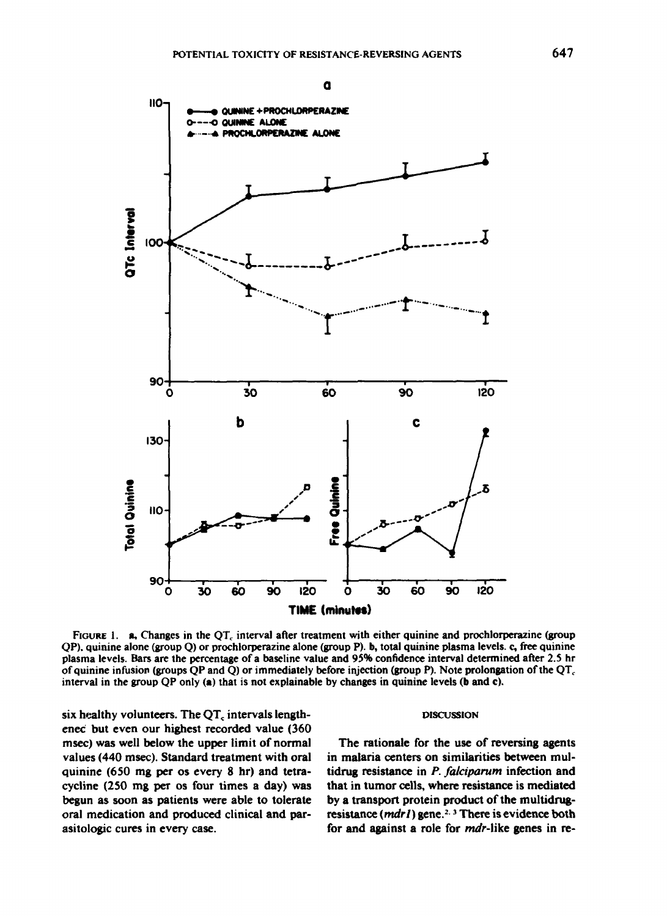**OUININE + PROCHLORPERAZINE** 

QUININE ALONE

 $\mathbf{a}$ 





FIGURE 1. a, Changes in the QT, interval after treatment with either quinine and prochlorperazine (group QP), quinine alone (group Q) or prochlorperazine alone (group P). b, total quinine plasma levels. c, free quinine plasma levels. Bars are the percentage of a baseline value and 95% confidence interval determined after 2.5 hr of quinine infusion (groups QP and Q) or immediately before injection (group P). Note prolongation of the  $QT_c$ interval in the group QP only (a) that is not explainable by changes in quinine levels (b and c).

six healthy volunteers. The  $QT<sub>c</sub>$  intervals lengthened but even our highest recorded value (360 msec) was well below the upper limit of normal values (440 msec). Standard treatment with oral quinine (650 mg per os every 8 hr) and tetracycline (250 mg per os four times a day) was begun as soon as patients were able to tolerate oral medication and produced clinical and parasitologic cures in every case.

HO-

### **DISCUSSION**

The rationale for the use of reversing agents in malaria centers on similarities between multidrug resistance in P. falciparum infection and that in tumor cells, where resistance is mediated by a transport protein product of the multidrugresistance (mdr1) gene.<sup>2, 3</sup> There is evidence both for and against a role for *mdr*-like genes in re-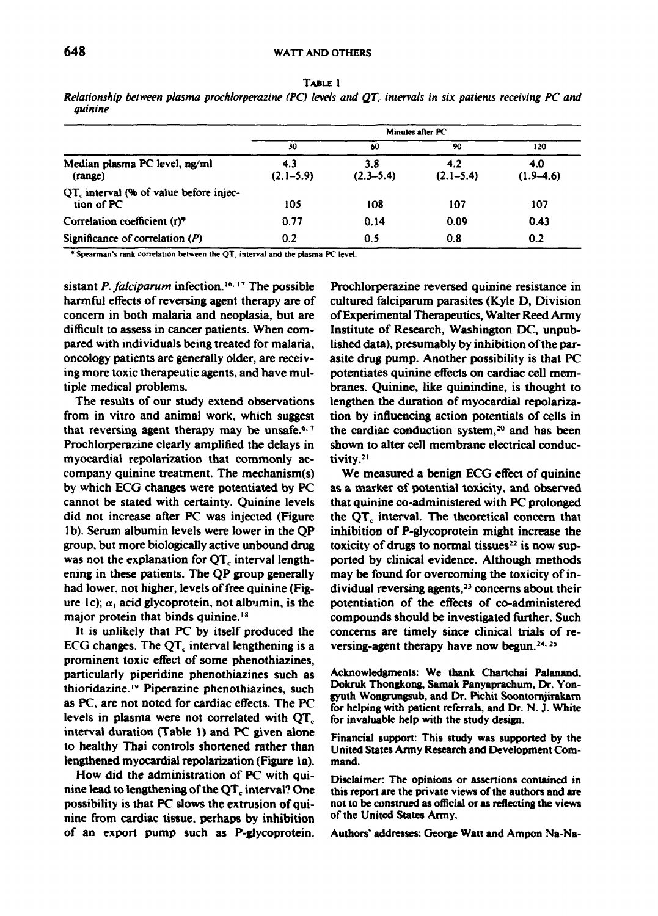| ۰<br>×<br><br>× |  |
|-----------------|--|
|-----------------|--|

*Relationship between plasma prochiorperazine (PC) levels and QT, intervals in six patients receiving PC and quinine*

|                                                                  | Minutes after PC     |                      |                      |                    |
|------------------------------------------------------------------|----------------------|----------------------|----------------------|--------------------|
|                                                                  | 30                   | 60                   | 90                   | 120                |
| Median plasma PC level, ng/ml<br>(range)                         | 4.3<br>$(2.1 - 5.9)$ | 3.8<br>$(2.3 - 5.4)$ | 4.2<br>$(2.1 - 5.4)$ | 4.0<br>$(1.9-4.6)$ |
| QT <sub>c</sub> interval (% of value before injec-<br>tion of PC | 105                  | 108                  | 107                  | 107                |
| Correlation coefficient (r)*                                     | 0.77                 | 0.14                 | 0.09                 | 0.43               |
| Significance of correlation $(P)$                                | 0.2                  | 0.5                  | 0.8                  | 0.2                |

\* Spearman's rank correlation between the QT, interval and the plasma PC level.

harmful effects of reversing agent therapy are of cultured falciparum parasites (Kyle D, Division concern in both malaria and neoplasia, but are of Experimental Therapeutics, Walter Reed Army difficult to assess in cancer patients. When com- Institute of Research, Washington DC, unpubpared with individuals being treated for malaria, lished data), presumably by inhibition of the paroncology patients are generally older, are receiv- asite drug pump. Another possibility is that PC ing more toxic therapeutic agents, and have mul- potentiates quinine effects on cardiac cell memtiple medical problems. branes. Quinine, like quinindine, is thought to

from in vitro and animal work, which suggest tion by influencing action potentials of cells in that reversing agent therapy may be unsafe.<sup>6, 7</sup> Prochlorperazine clearly amplified the delays in shown to alter cell membrane electrical conducmyocardial repolarization that commonly ac- tivity.<sup>21</sup> company quinine treatment. The mechanism(s) We measured a benign **ECG** effect of quinine by which ECG changes were potentiated by PC as a marker of potential toxicity, and observed cannot be stated with certainty. Quinine levels that quinine co-administered with PC prolonged did not increase after PC was injected (Figure the **QT,** interval. The theoretical concern that **I** b). Serum albumin levels were lower in the QP inhibition of P-glycoprotein might increase the group, but more biologically active unbound drug toxicity of drugs to normal tissues<sup>22</sup> is now supwas not the explanation for **QT,** interval length- ported by clinical evidence. Although methods ening in these patients. The QP group generally may be found for overcoming the toxicity of inhad lower, not higher, levels of free quinine (Fig- dividual reversing agents,<sup>23</sup> concerns about their ure  $1c$ ;  $\alpha_1$  acid glycoprotein, not albumin, is the potentiation of the effects of co-administered major protein that binds quinine.<sup>18</sup> compounds should be investigated further. Such

ECG changes. The  $QT<sub>c</sub>$  interval lengthening is a prominent toxic effect of some phenothiazines, particularly piperidine phenothiazines such as Acknowledgments: We thank Chartchai Palanand,<br>thioridoring 12 Binesezine phenothiazines such Dokruk Thongkong, Samak Panyaprachum, Dr. Yonthioridazine.<sup>19</sup> Piperazine phenothiazines, such as PC, are not noted for cardiac effects. The PC for helping with patient referrals, and Dr. N. J. White levels in plasma were not correlated with  $QT<sub>c</sub>$  for invaluable help with the study design. interval duration (Table **1)** and PC given alone Financial support: This study was supported by the to healthy Thai controls shortened rather than United States Army Research and Development Comlengthened myocardial repolarization (Figure la). mand.

How did the administration of PC with qui-<br>Disclaimer: The opinions or assertions contained in nine from cardiac tissue, perhaps by inhibition of an export pump such as P-glycoprotein. Authors' addresses: George Watt and Ampon Na-Na-

sistant *P. falciparum* infection. **6. 7** The possible Prochlorperazine reversed quinine resistance in The results of our study extend observations lengthen the duration of myocardial repolarizathe cardiac conduction system,<sup>20</sup> and has been

It is unlikely that PC by itself produced the concerns are timely since clinical trials of reversing-agent therapy have now begun.<sup>24, 25</sup>

gyuth Wongrungsub, and Dr. Pichit Soontornjirakarn

nine lead to lengthening of the **QT,** interval? One this report are the private views of the authors and are possibility is that PC slows the extrusion of qui- not to be construed as official or as reflecting the views<br>nine from cardiac tissue, perhans by inhibition. of the United States Army.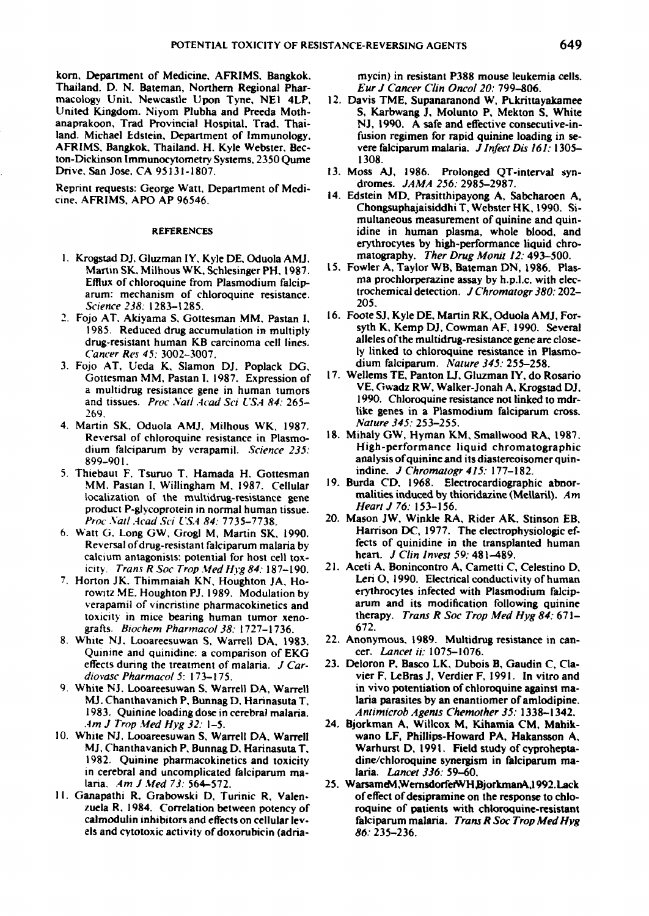korn, Department of Medicine. AFRIMS. Bangkok. mycin) in resistant **P388** mouse leukemia cells. Thailand. **D. N.** Bateman, Northern Regional Phar- *Eur J1* Cancer C/in Oncol *20:* **799-806.** macology Unit. Newcastle Upon Tyne. NE1 4LP, 12. Davis TME, Supanaranond W, Pukrittayakamee United Kingdom. Niyom Plubha and Preeda Moth- **S.** *Karbwang J, Molunto P, Mekton S, White anaprakoon***, Trad Provincial Hospital, T** land. Michael Edstein, Department of Immunology, fusion regimen for rapid quinine loading in se-<br>AFRIMS, Bangkok, Thailand. H. Kyle Webster, Bec-<br>vere falciparum malaria. J Infect Dis 161: 1305– AFRIMS. Bangkok. Thailand. H. Kyle Webster. Bec- vere falciparum malaria. *J Infect Dis 161:* **1305** ton-Dickinson Immunocytometry Systems, 2350 Qume Drive, San Jose, CA 95131-1807.

Reprint requests: George Watt, Department of Medi-<br>cine, AERIMS, APO AR 96546<br>Reprint the AERIMS, APO AR 96546  $Cine$ , AFRIMS, APO AP 96546.

- **I .** Krogstad **Di.** Gluzman IY. **Kyle DE,** Oduola **AMJ.** mlatography. *Thler Drug Monit 12.-493-500.* arum: mechanism of chloroquine resistance. trochemical detection. *IFOC*<br>Science 238: 1283-1285
- drug-resistant human KB carcinoma cell lines.
- 3. Fojo AT, Ueda K, Slamon DJ, Poplack DG, *dium falciparum. Nature 345:* 255–258.<br>Gottesman MM, Pastan L 1987, Expression of 17. Wellems TE, Panton LJ, Gluzman IY, do Rosario and tissues. *Proc Natl .4cad Sci USA 84:* 265-
- 4. Martin SK, Oduola AMJ, Milhous WK, 1987. dium falciparum by verapamil. *Science 235:* 899-901.
- 5. **Thiebaut F. Tsuruo T. Hamada H. Gottesman** indine. *J Chromatogr 415:* 177–182.<br>MM Pastan I Willingham M 1987 Cellular <sup>19</sup>. Burda CD, 1968. Electrocardiographic abnorlocalization of the multidrug-resistance gene mailties induced by the moducine of the multidrug-resistance gene product P-glycoprotein in normal human tissue.
- Reversal of drug-resistant falciparum malaria by **fects of quinidine in the transpl**<br>calcium antagonists: potential for host cell tox. **heart**. J Clin Invest 59: 481–489 calcium antagonists: potential for host cell tox- heart. *J Clin Invest* **59.:** 481-489.
- rowitz ME. Houghton PJ. 1989. Modulation by
- 8. White NJ. Looareesuwan S. Warrell DA. 1983. 22. Anonymous. 1989. Multidrught Cuinine and quinidine: a comparison of FKG cer. *Lancet ii:* 1075–1076. Quinine and quinidine: a comparison of **EKG** effects during the treatment of malaria. *J Car-* **23.** Deloron P. Basco LK, Dubois B, Gaudin **C,** Cia-
- 1983. Quinine loading dose in cerebral malaria. Antimicrob Agents Chemother 35: 1338-1342.<br>Am J Trop Med Hyg 32: 1-5. 24. Bjorkman A, Willcox M, Kihamia CM, Mahik.
- 10. **White NJ, Looareesuwan S. Warrell DA, Warrell MJ, Chanthavanich P, Bunnag D, Harinasuta T,** in cerebral and uncomplicated falciparum ma- *lania. Lancet 336:* **59-60.** laria. *Am J Med 73:* 564-572. 25. WarsameM, WernsdorferWH BjorkmanA,1992. Lack
- 

- NJ, 1990. A safe and effective consecutive-in-
- 13. Moss AJ, 1986. Prolonged QT-interval syn-<br>dromes.  $JAMA$  256: 2985-2987.
- Chongsuphajaisiddhi T, Webster HK, 1990. Si-<br>multaneous measurement of quinine and quin-**REFERENCES Examples idine in human plasma, whole blood, and plasma** erythrocytes by high-performance liquid chro-<br>matography. Ther Drug Monit 12: 493-500.
- Martin SK, Milhous WK, Schlesinger PH, 1987. 15. Fowler A, Taylor WB, Bateman DN, 1986. Plas-<br>Fiftux of chloroquine from Plasmodium falcin- ma prochlorperazine assay by h.p.l.c. with elec-Efflux of chloroquine from Plasmodium falcip-<br>
arum: mechanism of chloroquine resistance **matched in trochemical detection**. *J Chromatogr 380*: 202–
- *Science 238:* **1283-1285. 205.** 2. Fojo **AT.** Akiyama **S.** Gottesman MM, Pastan **1, 16.** Foote **SJ.** Kyle **DE.** Martin RK, Oduola **AMJ.** For-**1985.** Reduced drug accumulation in multiply syth K. Kemp **DJ,** Cowman **AF, 1990.** Several *Cancer Res 45:*  3002-3007.<br> *Cancer Res 45:*  3002-3007. ly linked to chloroquine resistance in Plasmo-<br>
vio AT Lleda K Slamon DL Poplack DG dium falciparum. Nature 345: 255–258.
	- Gottesman MM, Pastan I, 1987. Expression of <sup>17.</sup> Wellems TE, Panton LJ, Gluzman IY, do Rosario<br>a multidrug resistance gene in human tumors **VE, Gwadz RW, Walker-Jonah A, Krogstad DJ**, a multidrug resistance gene in human tumors VE, Gwadz RW, Walker-Jonah **A,** Krogstad **DJ,** 269. **and State and State and State and State genes in a Plasmodium falciparum cross.**<br> **269. artin SK.** Oduola AML Milhous WK 1987 *Nature 345:* 253–255.
	- Reversal of chloroquine resistance in Plasmo-<br>  $\frac{18}{\text{High-performance liquid}}$  Mihaly GW, Hyman KM, Smallwood RA, 1987.<br>
	dium falcinarum by veranamil Science 235:<br>
	High-performance liquid chromatographic analysis of quinine and its diastereoisomer quin-<br>indine. J Chromatogr 415: 177-182.
	- MM. Pastan **1,** Willingham M. **1987.** Cellular **19.** Burda **CD. 1968.** Electrocardiographic abnor-
- *Proc Natl Acad Sci USA 84:* **7735-7738.** 20. Mason JW, Winkle RA, Rider AK, Stinson EB, <br>att G. Long GW, Groel M. Martin SK, 1990. **Harrison DC, 1977.** The electrophysiologic ef-**6.** Watt **G.** Long GW, Grogi M, Martin SK, **1990.** Harrison **D-C, 1977.** The electrophysiologic ef-
- icity. *Trans R Soc Trop.Med Hivg84:187-190.* 2 **1.** Aceti **A.** Bonincontro **A.** Cametti **C,** Celestino **D. 7.** Horton **JK.** Thimmaiah **KN,** Houghton **JA,** Ho- Leri **0, 1990.** Electrical conductivity of human verapamil of vincristine pharmacokinetics and arum and its modification following quinine toxicity in mice bearing human tumor xeno-<br>grafts. *Riochem Pharmacol 38:* 1727–1736. 672. 672.
	- *grafts. Biochem Pharpnacol 38:* **1727-1736. 672.**
- *diovasc Pharmacol 5*: **173–175. vier F, LeBras J, Verdier F, 1991.** In vitro and <br> *in* vivo potentiation of chloroquine against ma-**9.** White **NJ.** Looareesuwan **S.** Warrell **DA,** Warrell in vivo potentiation of chioroquine against ma-
	- 24. Bjorkman A, Willcox M, Kihamia CM, Mahik-<br>wano LF, Phillips-Howard PA, Hakansson A, **MJ.** Chanthavanich P. Bunnag **D.** Harinasuta T, Warhurst **D, 199 1.** Field study of cyprohepta- **1982.** Quinine pharmacokinetics and toxicity dine/chloroquine synergism in falciparum ma-
- **It.** Ganapathi R, Grabowski **D,** Tuninic R, Valen- of effect of desipramine on the response to chlozuela R, 1984. Correlation between potency of roquine of patients with chloroquine-resistant calmodulin inhibitors and effects on cellular lev-<br>els and cytotoxic activity of doxorubicin (adria- **86:** 235–236.